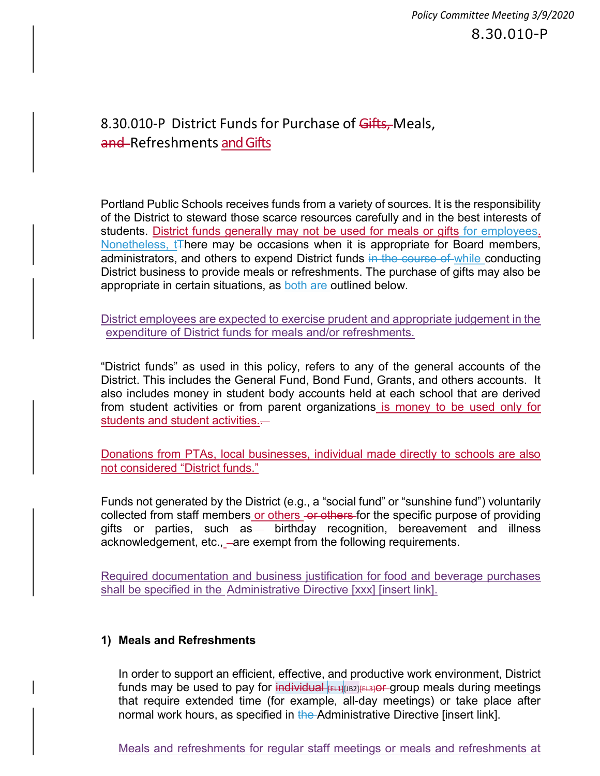## 8.30.010-P District Funds for Purchase of Gifts, Meals, and Refreshments and Gifts

Portland Public Schools receives funds from a variety of sources. It is the responsibility of the District to steward those scarce resources carefully and in the best interests of students. District funds generally may not be used for meals or gifts for employees. Nonetheless, t<sub>There</sub> may be occasions when it is appropriate for Board members, administrators, and others to expend District funds in the course of while conducting District business to provide meals or refreshments. The purchase of gifts may also be appropriate in certain situations, as both are outlined below.

District employees are expected to exercise prudent and appropriate judgement in the expenditure of District funds for meals and/or refreshments.

"District funds" as used in this policy, refers to any of the general accounts of the District. This includes the General Fund, Bond Fund, Grants, and others accounts. It also includes money in student body accounts held at each school that are derived from student activities or from parent organizations is money to be used only for students and student activities.-

Donations from PTAs, local businesses, individual made directly to schools are also not considered "District funds."

Funds not generated by the District (e.g., a "social fund" or "sunshine fund") voluntarily collected from staff members or others -or others-for the specific purpose of providing gifts or parties, such as - birthday recognition, bereavement and illness acknowledgement, etc., –are exempt from the following requirements.

Required documentation and business justification for food and beverage purchases shall be specified in the Administrative Directive [xxx] [insert link].

## 1) Meals and Refreshments

In order to support an efficient, effective, and productive work environment, District funds may be used to pay for  $\frac{1}{2}$  individual  $\frac{1}{2}$ [EL4][JB2]  $\frac{1}{2}$ [EL3] or group meals during meetings that require extended time (for example, all-day meetings) or take place after normal work hours, as specified in the Administrative Directive [insert link].

Meals and refreshments for regular staff meetings or meals and refreshments at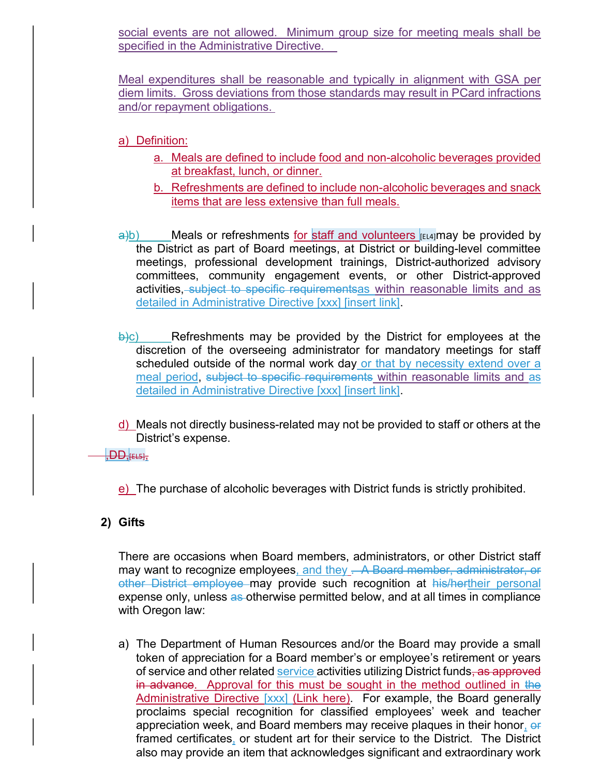social events are not allowed. Minimum group size for meeting meals shall be specified in the Administrative Directive.

Meal expenditures shall be reasonable and typically in alignment with GSA per diem limits. Gross deviations from those standards may result in PCard infractions and/or repayment obligations.

a) Definition:

- a. Meals are defined to include food and non-alcoholic beverages provided at breakfast, lunch, or dinner.
- b. Refreshments are defined to include non-alcoholic beverages and snack items that are less extensive than full meals.
- $\frac{a}{b}$ ) Meals or refreshments for staff and volunteers [EL4]may be provided by the District as part of Board meetings, at District or building-level committee meetings, professional development trainings, District-authorized advisory committees, community engagement events, or other District-approved activities, subject to specific requirementsas within reasonable limits and as detailed in Administrative Directive [xxx] [insert link].
- $\Theta$ ) Refreshments may be provided by the District for employees at the discretion of the overseeing administrator for mandatory meetings for staff scheduled outside of the normal work day or that by necessity extend over a meal period, subject to specific requirements within reasonable limits and as detailed in Administrative Directive [xxx] [insert link].
- d) Meals not directly business-related may not be provided to staff or others at the District's expense.
- $,$ DD,[EL5], $,$

e) The purchase of alcoholic beverages with District funds is strictly prohibited.

## 2) Gifts

There are occasions when Board members, administrators, or other District staff may want to recognize employees, and they . A Board member, administrator, or other District employee may provide such recognition at his/hertheir personal expense only, unless as otherwise permitted below, and at all times in compliance with Oregon law:

a) The Department of Human Resources and/or the Board may provide a small token of appreciation for a Board member's or employee's retirement or years of service and other related service activities utilizing District funds, as approved in advance. Approval for this must be sought in the method outlined in the Administrative Directive [xxx] (Link here). For example, the Board generally proclaims special recognition for classified employees' week and teacher appreciation week, and Board members may receive plaques in their honor, or framed certificates, or student art for their service to the District. The District also may provide an item that acknowledges significant and extraordinary work